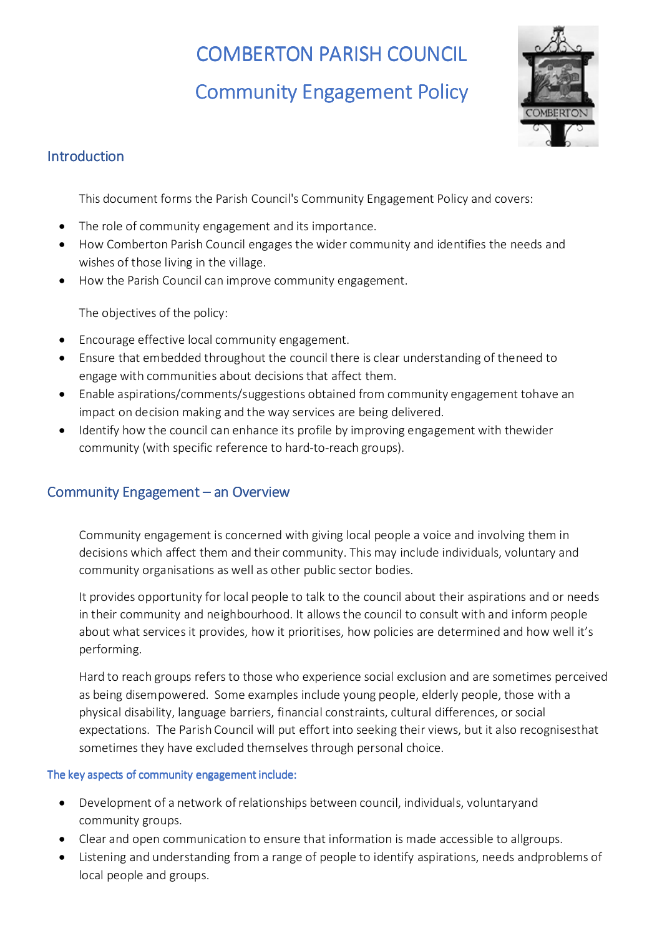# **COMBERTON PARISH COUNCIL**

Community Engagement Policy



# **Introduction**

This document forms the Parish Council's Community Engagement Policy and covers:

- The role of community engagement and its importance.
- How Comberton Parish Council engages the wider community and identifies the needs and wishes of those living in the village.
- How the Parish Council can improve community engagement.

The objectives of the policy:

- Encourage effective local community engagement.
- Ensure that embedded throughout the council there is clear understanding of the need to engage with communities about decisions that affect them.
- Enable aspirations/comments/suggestions obtained from community engagement tohave an impact on decision making and the way services are being delivered.
- Identify how the council can enhance its profile by improving engagement with the wider community (with specific reference to hard-to-reach groups).

## Community Engagement – an Overview

Community engagement is concerned with giving local people a voice and involving them in decisions which affect them and their community. This may include individuals, voluntary and community organisations as well as other public sector bodies.

It provides opportunity for local people to talk to the council about their aspirations and or needs in their community and neighbourhood. It allows the council to consult with and inform people about what services it provides, how it prioritises, how policies are determined and how well it's performing.

Hard to reach groups refers to those who experience social exclusion and are sometimes perceived as being disempowered. Some examples include young people, elderly people, those with a physical disability, language barriers, financial constraints, cultural differences, or social expectations. The Parish Council will put effort into seeking their views, but it also recognisesthat sometimes they have excluded themselves through personal choice.

### The key aspects of community engagement include:

- Development of a network of relationships between council, individuals, voluntary and community groups.
- Clear and open communication to ensure that information is made accessible to all groups.
- Listening and understanding from a range of people to identify aspirations, needs and problems of local people and groups.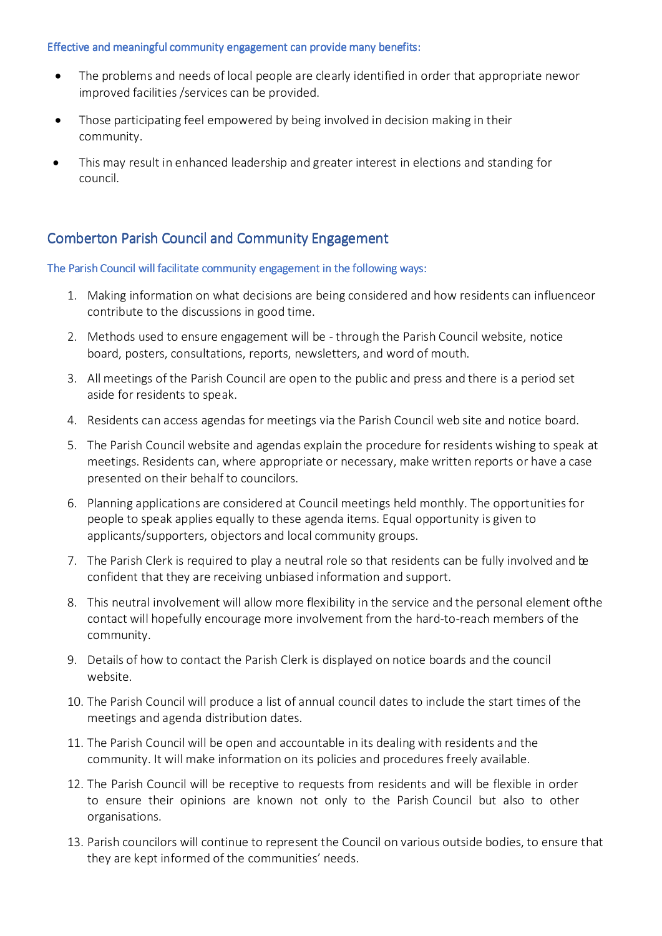#### Effective and meaningful community engagement can provide many benefits:

- The problems and needs of local people are clearly identified in order that appropriate new or improved facilities /services can be provided.
- Those participating feel empowered by being involved in decision making in their community.
- This may result in enhanced leadership and greater interest in elections and standing for council.

## Comberton Parish Council and Community Engagement

#### The Parish Council will facilitate community engagement in the following ways:

- 1. Making information on what decisions are being considered and how residents can influence or contribute to the discussions in good time.
- 2. Methods used to ensure engagement will be through the Parish Council website, notice board, posters, consultations, reports, newsletters, and word of mouth.
- 3. All meetings of the Parish Council are open to the public and press and there is a period set aside for residents to speak.
- 4. Residents can access agendas for meetings via the Parish Council web site and notice board.
- 5. The Parish Council website and agendas explain the procedure for residents wishing to speak at meetings. Residents can, where appropriate or necessary, make written reports or have a case presented on their behalf to councilors.
- 6. Planning applications are considered at Council meetings held monthly. The opportunities for people to speak applies equally to these agenda items. Equal opportunity is given to applicants/supporters, objectors and local community groups.
- 7. The Parish Clerk is required to play a neutral role so that residents can be fully involved and be confident that they are receiving unbiased information and support.
- 8. This neutral involvement will allow more flexibility in the service and the personal element of the contact will hopefully encourage more involvement from the hard-to-reach members of the community.
- 9. Details of how to contact the Parish Clerk is displayed on notice boards and the council website.
- 10. The Parish Council will produce a list of annual council dates to include the start times of the meetings and agenda distribution dates.
- 11. The Parish Council will be open and accountable in its dealing with residents and the community. It will make information on its policies and procedures freely available.
- 12. The Parish Council will be receptive to requests from residents and will be flexible in order to ensure their opinions are known not only to the Parish Council but also to other organisations.
- 13. Parish councilors will continue to represent the Council on various outside bodies, to ensure that they are kept informed of the communities' needs.